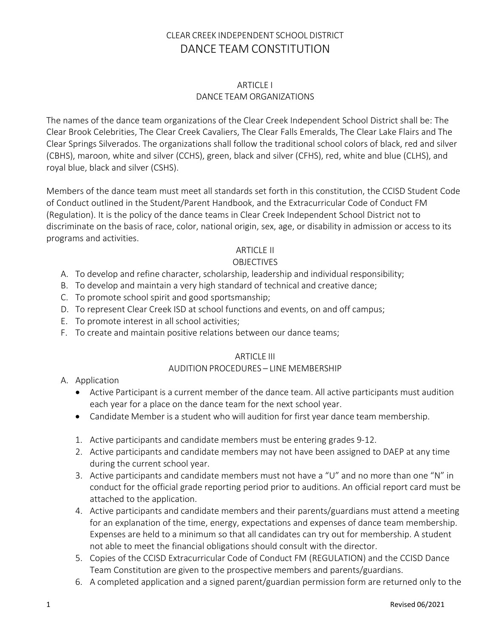#### ARTICLE I DANCE TEAM ORGANIZATIONS

The names of the dance team organizations of the Clear Creek Independent School District shall be: The Clear Brook Celebrities, The Clear Creek Cavaliers, The Clear Falls Emeralds, The Clear Lake Flairs and The Clear Springs Silverados. The organizations shall follow the traditional school colors of black, red and silver (CBHS), maroon, white and silver (CCHS), green, black and silver (CFHS), red, white and blue (CLHS), and royal blue, black and silver (CSHS).

Members of the dance team must meet all standards set forth in this constitution, the CCISD Student Code of Conduct outlined in the Student/Parent Handbook, and the Extracurricular Code of Conduct FM (Regulation). It is the policy of the dance teams in Clear Creek Independent School District not to discriminate on the basis of race, color, national origin, sex, age, or disability in admission or access to its programs and activities.

#### ARTICLE II

### OBJECTIVES

- A. To develop and refine character, scholarship, leadership and individual responsibility;
- B. To develop and maintain a very high standard of technical and creative dance;
- C. To promote school spirit and good sportsmanship;
- D. To represent Clear Creek ISD at school functions and events, on and off campus;
- E. To promote interest in all school activities;
- F. To create and maintain positive relations between our dance teams;

#### ARTICLE III

#### AUDITION PROCEDURES – LINE MEMBERSHIP

- A. Application
	- Active Participant is a current member of the dance team. All active participants must audition each year for a place on the dance team for the next school year.
	- Candidate Member is a student who will audition for first year dance team membership.
	- 1. Active participants and candidate members must be entering grades 9-12.
	- 2. Active participants and candidate members may not have been assigned to DAEP at any time during the current school year.
	- 3. Active participants and candidate members must not have a "U" and no more than one "N" in conduct for the official grade reporting period prior to auditions. An official report card must be attached to the application.
	- 4. Active participants and candidate members and their parents/guardians must attend a meeting for an explanation of the time, energy, expectations and expenses of dance team membership. Expenses are held to a minimum so that all candidates can try out for membership. A student not able to meet the financial obligations should consult with the director.
	- 5. Copies of the CCISD Extracurricular Code of Conduct FM (REGULATION) and the CCISD Dance Team Constitution are given to the prospective members and parents/guardians.
	- 6. A completed application and a signed parent/guardian permission form are returned only to the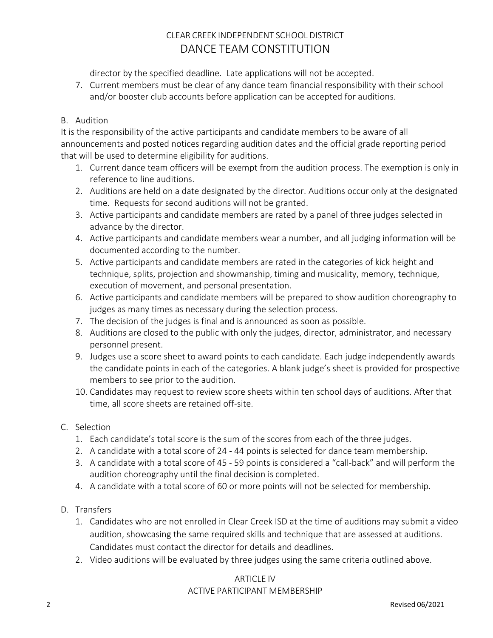director by the specified deadline. Late applications will not be accepted.

7. Current members must be clear of any dance team financial responsibility with their school and/or booster club accounts before application can be accepted for auditions.

### B. Audition

It is the responsibility of the active participants and candidate members to be aware of all announcements and posted notices regarding audition dates and the official grade reporting period that will be used to determine eligibility for auditions.

- 1. Current dance team officers will be exempt from the audition process. The exemption is only in reference to line auditions.
- 2. Auditions are held on a date designated by the director. Auditions occur only at the designated time. Requests for second auditions will not be granted.
- 3. Active participants and candidate members are rated by a panel of three judges selected in advance by the director.
- 4. Active participants and candidate members wear a number, and all judging information will be documented according to the number.
- 5. Active participants and candidate members are rated in the categories of kick height and technique, splits, projection and showmanship, timing and musicality, memory, technique, execution of movement, and personal presentation.
- 6. Active participants and candidate members will be prepared to show audition choreography to judges as many times as necessary during the selection process.
- 7. The decision of the judges is final and is announced as soon as possible.
- 8. Auditions are closed to the public with only the judges, director, administrator, and necessary personnel present.
- 9. Judges use a score sheet to award points to each candidate. Each judge independently awards the candidate points in each of the categories. A blank judge's sheet is provided for prospective members to see prior to the audition.
- 10. Candidates may request to review score sheets within ten school days of auditions. After that time, all score sheets are retained off-site.
- C. Selection
	- 1. Each candidate's total score is the sum of the scores from each of the three judges.
	- 2. A candidate with a total score of 24 44 points is selected for dance team membership.
	- 3. A candidate with a total score of 45 59 points is considered a "call-back" and will perform the audition choreography until the final decision is completed.
	- 4. A candidate with a total score of 60 or more points will not be selected for membership.
- D. Transfers
	- 1. Candidates who are not enrolled in Clear Creek ISD at the time of auditions may submit a video audition, showcasing the same required skills and technique that are assessed at auditions. Candidates must contact the director for details and deadlines.
	- 2. Video auditions will be evaluated by three judges using the same criteria outlined above.

#### ARTICLE IV ACTIVE PARTICIPANT MEMBERSHIP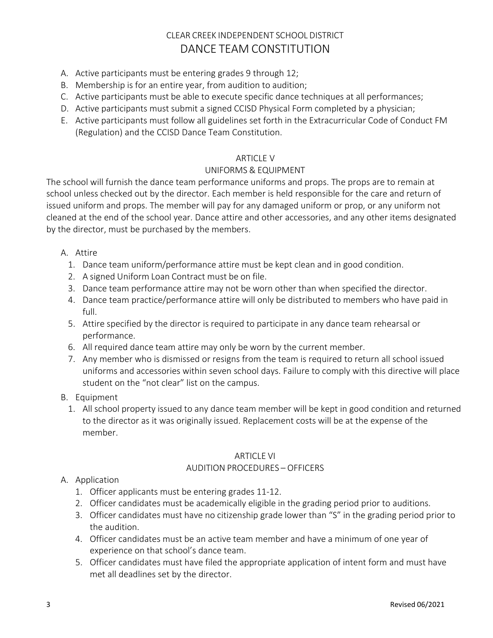- A. Active participants must be entering grades 9 through 12;
- B. Membership is for an entire year, from audition to audition;
- C. Active participants must be able to execute specific dance techniques at all performances;
- D. Active participants must submit a signed CCISD Physical Form completed by a physician;
- E. Active participants must follow all guidelines set forth in the Extracurricular Code of Conduct FM (Regulation) and the CCISD Dance Team Constitution.

### ARTICLE V

### UNIFORMS & EQUIPMENT

The school will furnish the dance team performance uniforms and props. The props are to remain at school unless checked out by the director. Each member is held responsible for the care and return of issued uniform and props. The member will pay for any damaged uniform or prop, or any uniform not cleaned at the end of the school year. Dance attire and other accessories, and any other items designated by the director, must be purchased by the members.

### A. Attire

- 1. Dance team uniform/performance attire must be kept clean and in good condition.
- 2. A signed Uniform Loan Contract must be on file.
- 3. Dance team performance attire may not be worn other than when specified the director.
- 4. Dance team practice/performance attire will only be distributed to members who have paid in full.
- 5. Attire specified by the director is required to participate in any dance team rehearsal or performance.
- 6. All required dance team attire may only be worn by the current member.
- 7. Any member who is dismissed or resigns from the team is required to return all school issued uniforms and accessories within seven school days. Failure to comply with this directive will place student on the "not clear" list on the campus.
- B. Equipment
	- 1. All school property issued to any dance team member will be kept in good condition and returned to the director as it was originally issued. Replacement costs will be at the expense of the member.

### ARTICLE VI

### AUDITION PROCEDURES – OFFICERS

### A. Application

- 1. Officer applicants must be entering grades 11-12.
- 2. Officer candidates must be academically eligible in the grading period prior to auditions.
- 3. Officer candidates must have no citizenship grade lower than "S" in the grading period prior to the audition.
- 4. Officer candidates must be an active team member and have a minimum of one year of experience on that school's dance team.
- 5. Officer candidates must have filed the appropriate application of intent form and must have met all deadlines set by the director.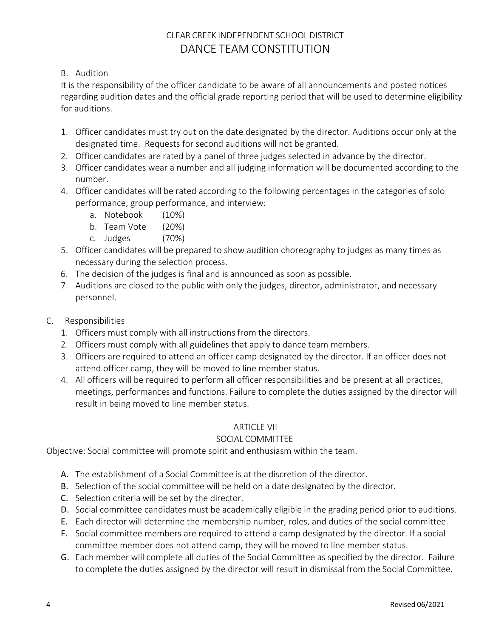### B. Audition

It is the responsibility of the officer candidate to be aware of all announcements and posted notices regarding audition dates and the official grade reporting period that will be used to determine eligibility for auditions.

- 1. Officer candidates must try out on the date designated by the director. Auditions occur only at the designated time. Requests for second auditions will not be granted.
- 2. Officer candidates are rated by a panel of three judges selected in advance by the director.
- 3. Officer candidates wear a number and all judging information will be documented according to the number.
- 4. Officer candidates will be rated according to the following percentages in the categories of solo performance, group performance, and interview:
	- a. Notebook (10%)
	- b. Team Vote (20%)
	- c. Judges (70%)
- 5. Officer candidates will be prepared to show audition choreography to judges as many times as necessary during the selection process.
- 6. The decision of the judges is final and is announced as soon as possible.
- 7. Auditions are closed to the public with only the judges, director, administrator, and necessary personnel.
- C. Responsibilities
	- 1. Officers must comply with all instructions from the directors.
	- 2. Officers must comply with all guidelines that apply to dance team members.
	- 3. Officers are required to attend an officer camp designated by the director. If an officer does not attend officer camp, they will be moved to line member status.
	- 4. All officers will be required to perform all officer responsibilities and be present at all practices, meetings, performances and functions. Failure to complete the duties assigned by the director will result in being moved to line member status.

### ARTICLE VII

### SOCIAL COMMITTEE

Objective: Social committee will promote spirit and enthusiasm within the team.

- A. The establishment of a Social Committee is at the discretion of the director.
- B. Selection of the social committee will be held on a date designated by the director.
- C. Selection criteria will be set by the director.
- D. Social committee candidates must be academically eligible in the grading period prior to auditions.
- E. Each director will determine the membership number, roles, and duties of the social committee.
- F. Social committee members are required to attend a camp designated by the director. If a social committee member does not attend camp, they will be moved to line member status.
- G. Each member will complete all duties of the Social Committee as specified by the director. Failure to complete the duties assigned by the director will result in dismissal from the Social Committee.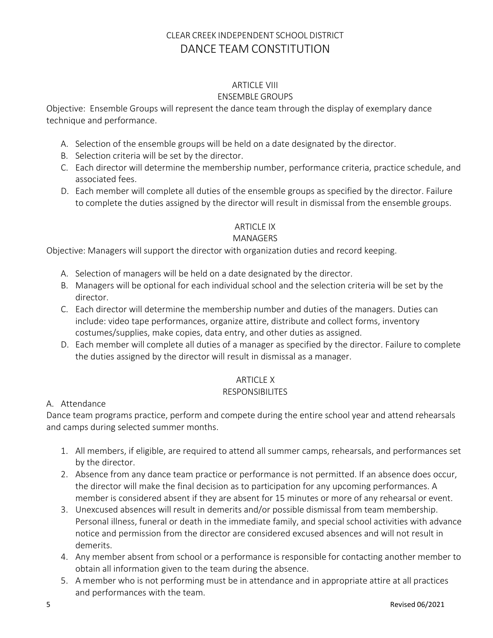# ARTICLE VIII

### ENSEMBLE GROUPS

Objective: Ensemble Groups will represent the dance team through the display of exemplary dance technique and performance.

- A. Selection of the ensemble groups will be held on a date designated by the director.
- B. Selection criteria will be set by the director.
- C. Each director will determine the membership number, performance criteria, practice schedule, and associated fees.
- D. Each member will complete all duties of the ensemble groups as specified by the director. Failure to complete the duties assigned by the director will result in dismissal from the ensemble groups.

## ARTICLE IX

### MANAGERS

Objective: Managers will support the director with organization duties and record keeping.

- A. Selection of managers will be held on a date designated by the director.
- B. Managers will be optional for each individual school and the selection criteria will be set by the director.
- C. Each director will determine the membership number and duties of the managers. Duties can include: video tape performances, organize attire, distribute and collect forms, inventory costumes/supplies, make copies, data entry, and other duties as assigned.
- D. Each member will complete all duties of a manager as specified by the director. Failure to complete the duties assigned by the director will result in dismissal as a manager.

### ARTICLE X

### RESPONSIBILITES

### A. Attendance

Dance team programs practice, perform and compete during the entire school year and attend rehearsals and camps during selected summer months.

- 1. All members, if eligible, are required to attend all summer camps, rehearsals, and performances set by the director.
- 2. Absence from any dance team practice or performance is not permitted. If an absence does occur, the director will make the final decision as to participation for any upcoming performances. A member is considered absent if they are absent for 15 minutes or more of any rehearsal or event.
- 3. Unexcused absences will result in demerits and/or possible dismissal from team membership. Personal illness, funeral or death in the immediate family, and special school activities with advance notice and permission from the director are considered excused absences and will not result in demerits.
- 4. Any member absent from school or a performance is responsible for contacting another member to obtain all information given to the team during the absence.
- 5. A member who is not performing must be in attendance and in appropriate attire at all practices and performances with the team.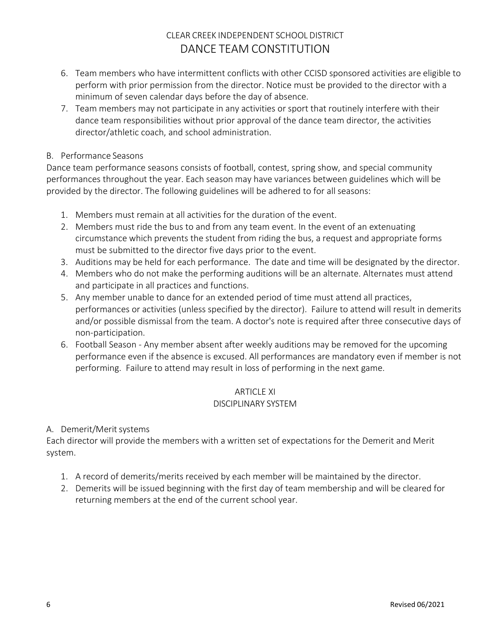- 6. Team members who have intermittent conflicts with other CCISD sponsored activities are eligible to perform with prior permission from the director. Notice must be provided to the director with a minimum of seven calendar days before the day of absence.
- 7. Team members may not participate in any activities or sport that routinely interfere with their dance team responsibilities without prior approval of the dance team director, the activities director/athletic coach, and school administration.

#### B. Performance Seasons

Dance team performance seasons consists of football, contest, spring show, and special community performances throughout the year. Each season may have variances between guidelines which will be provided by the director. The following guidelines will be adhered to for all seasons:

- 1. Members must remain at all activities for the duration of the event.
- 2. Members must ride the bus to and from any team event. In the event of an extenuating circumstance which prevents the student from riding the bus, a request and appropriate forms must be submitted to the director five days prior to the event.
- 3. Auditions may be held for each performance. The date and time will be designated by the director.
- 4. Members who do not make the performing auditions will be an alternate. Alternates must attend and participate in all practices and functions.
- 5. Any member unable to dance for an extended period of time must attend all practices, performances or activities (unless specified by the director). Failure to attend will result in demerits and/or possible dismissal from the team. A doctor's note is required after three consecutive days of non-participation.
- 6. Football Season Any member absent after weekly auditions may be removed for the upcoming performance even if the absence is excused. All performances are mandatory even if member is not performing. Failure to attend may result in loss of performing in the next game.

### ARTICLE XI DISCIPLINARY SYSTEM

### A. Demerit/Merit systems

Each director will provide the members with a written set of expectations for the Demerit and Merit system.

- 1. A record of demerits/merits received by each member will be maintained by the director.
- 2. Demerits will be issued beginning with the first day of team membership and will be cleared for returning members at the end of the current school year.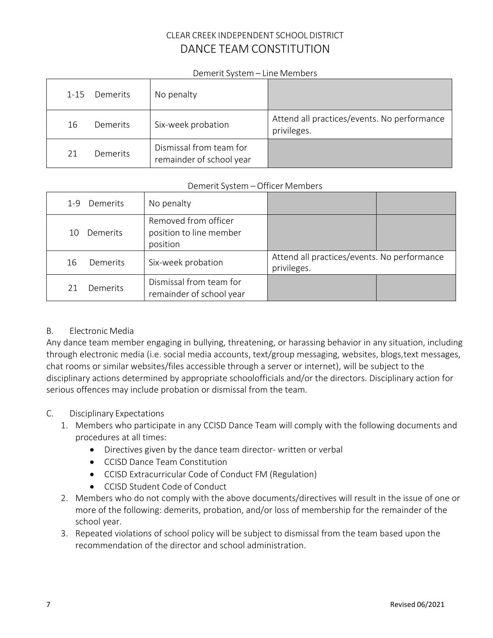#### Demerit System – Line Members

| Demerits<br>$1 - 15$ | No penalty                                          |                                                            |
|----------------------|-----------------------------------------------------|------------------------------------------------------------|
| Demerits<br>16       | Six-week probation                                  | Attend all practices/events. No performance<br>privileges. |
| 21<br>Demerits       | Dismissal from team for<br>remainder of school year |                                                            |

#### Demerit System – Officer Members

| Demerits<br>$1 - 9$ | No penalty                                                  |                                                            |  |
|---------------------|-------------------------------------------------------------|------------------------------------------------------------|--|
| Demerits<br>10      | Removed from officer<br>position to line member<br>position |                                                            |  |
| Demerits<br>16      | Six-week probation                                          | Attend all practices/events. No performance<br>privileges. |  |
| Demerits            | Dismissal from team for<br>remainder of school year         |                                                            |  |

### B. Electronic Media

Any dance team member engaging in bullying, threatening, or harassing behavior in any situation, including through electronic media (i.e. social media accounts, text/group messaging, websites, blogs,text messages, chat rooms or similar websites/files accessible through a server or internet), will be subject to the disciplinary actions determined by appropriate schoolofficials and/or the directors. Disciplinary action for serious offences may include probation or dismissal from the team.

### C. Disciplinary Expectations

- 1. Members who participate in any CCISD Dance Team will comply with the following documents and procedures at all times:
	- Directives given by the dance team director- written or verbal
	- CCISD Dance Team Constitution
	- CCISD Extracurricular Code of Conduct FM (Regulation)
	- CCISD Student Code of Conduct
- 2. Members who do not comply with the above documents/directives will result in the issue of one or more of the following: demerits, probation, and/or loss of membership for the remainder of the school year.
- 3. Repeated violations of school policy will be subject to dismissal from the team based upon the recommendation of the director and school administration.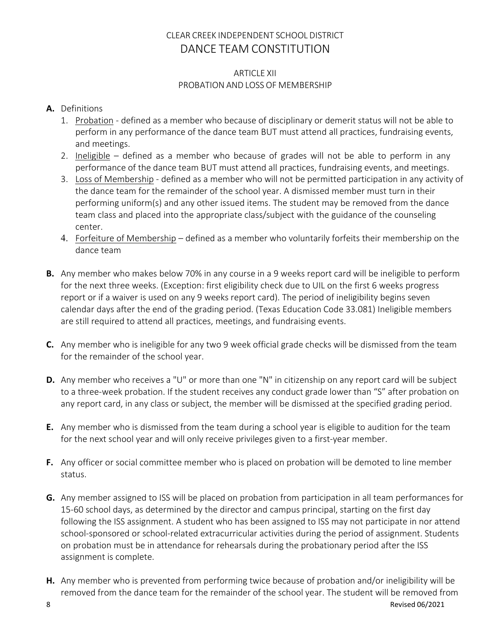#### ARTICLE XII PROBATION AND LOSS OF MEMBERSHIP

## **A.** Definitions

- 1. Probation defined as a member who because of disciplinary or demerit status will not be able to perform in any performance of the dance team BUT must attend all practices, fundraising events, and meetings.
- 2. Ineligible defined as a member who because of grades will not be able to perform in any performance of the dance team BUT must attend all practices, fundraising events, and meetings.
- 3. Loss of Membership defined as a member who will not be permitted participation in any activity of the dance team for the remainder of the school year. A dismissed member must turn in their performing uniform(s) and any other issued items. The student may be removed from the dance team class and placed into the appropriate class/subject with the guidance of the counseling center.
- 4. Forfeiture of Membership defined as a member who voluntarily forfeits their membership on the dance team
- **B.** Any member who makes below 70% in any course in a 9 weeks report card will be ineligible to perform for the next three weeks. (Exception: first eligibility check due to UIL on the first 6 weeks progress report or if a waiver is used on any 9 weeks report card). The period of ineligibility begins seven calendar days after the end of the grading period. (Texas Education Code 33.081) Ineligible members are still required to attend all practices, meetings, and fundraising events.
- **C.** Any member who is ineligible for any two 9 week official grade checks will be dismissed from the team for the remainder of the school year.
- **D.** Any member who receives a "U" or more than one "N" in citizenship on any report card will be subject to a three-week probation. If the student receives any conduct grade lower than "S" after probation on any report card, in any class or subject, the member will be dismissed at the specified grading period.
- **E.** Any member who is dismissed from the team during a school year is eligible to audition for the team for the next school year and will only receive privileges given to a first-year member.
- **F.** Any officer or social committee member who is placed on probation will be demoted to line member status.
- **G.** Any member assigned to ISS will be placed on probation from participation in all team performances for 15-60 school days, as determined by the director and campus principal, starting on the first day following the ISS assignment. A student who has been assigned to ISS may not participate in nor attend school-sponsored or school-related extracurricular activities during the period of assignment. Students on probation must be in attendance for rehearsals during the probationary period after the ISS assignment is complete.
- **H.** Any member who is prevented from performing twice because of probation and/or ineligibility will be removed from the dance team for the remainder of the school year. The student will be removed from